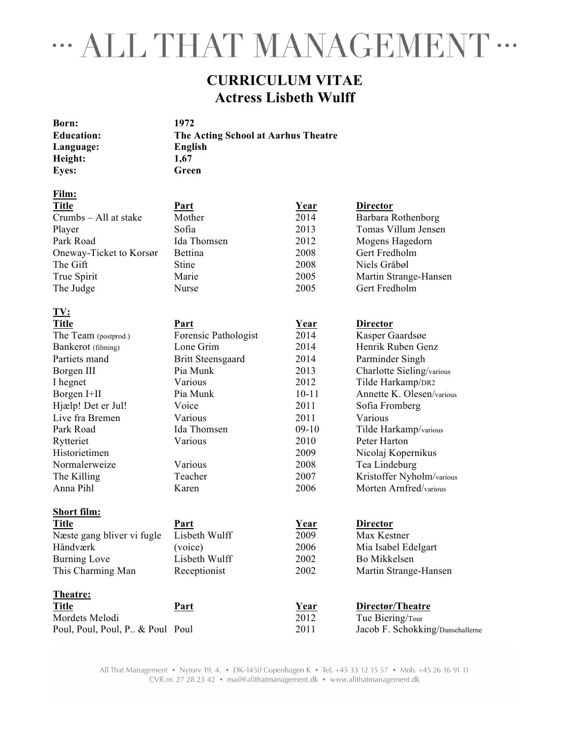# " ALL THAT MANAGEMENT "

# **CURRICULUM VITAE Actress Lisbeth Wulff**

**Born: 1972 Language: English Height: 1,67 Eyes: Green** 

**Education: The Acting School at Aarhus Theatre**

## **Film:**

| <b>Title</b>               | Part                     | <u>Year</u> | <b>Director</b>           |
|----------------------------|--------------------------|-------------|---------------------------|
| Crumbs - All at stake      | Mother                   | 2014        | Barbara Rothenborg        |
| Player                     | Sofia                    | 2013        | Tomas Villum Jensen       |
| Park Road                  | Ida Thomsen              | 2012        | Mogens Hagedorn           |
| Oneway-Ticket to Korsør    | <b>Bettina</b>           | 2008        | Gert Fredholm             |
| The Gift                   | Stine                    | 2008        | Niels Gråbøl              |
| True Spirit                | Marie                    | 2005        | Martin Strange-Hansen     |
| The Judge                  | Nurse                    | 2005        | Gert Fredholm             |
| TV:                        |                          |             |                           |
| <b>Title</b>               | Part                     | Year        | <b>Director</b>           |
| The Team (postprod.)       | Forensic Pathologist     | 2014        | Kasper Gaardsøe           |
| Bankerot (filming)         | Lone Grim                | 2014        | Henrik Ruben Genz         |
| Partiets mand              | <b>Britt Steensgaard</b> | 2014        | Parminder Singh           |
| Borgen III                 | Pia Munk                 | 2013        | Charlotte Sieling/various |
| I hegnet                   | Various                  | 2012        | Tilde Harkamp/DR2         |
| Borgen I+II                | Pia Munk                 | $10 - 11$   | Annette K. Olesen/various |
| Hjælp! Det er Jul!         | Voice                    | 2011        | Sofia Fromberg            |
| Live fra Bremen            | Various                  | 2011        | Various                   |
| Park Road                  | Ida Thomsen              | $09-10$     | Tilde Harkamp/various     |
| Rytteriet                  | Various                  | 2010        | Peter Harton              |
| Historietimen              |                          | 2009        | Nicolaj Kopernikus        |
| Normalerweize              | Various                  | 2008        | Tea Lindeburg             |
| The Killing                | Teacher                  | 2007        | Kristoffer Nyholm/various |
| Anna Pihl                  | Karen                    | 2006        | Morten Arnfred/various    |
| <b>Short film:</b>         |                          |             |                           |
| <b>Title</b>               | Part                     | Year        | <b>Director</b>           |
| Næste gang bliver vi fugle | Lisbeth Wulff            | 2009        | Max Kestner               |
| Håndværk                   | (voice)                  | 2006        | Mia Isabel Edelgart       |
| <b>Burning Love</b>        | Lisbeth Wulff            | 2002        | Bo Mikkelsen              |
| This Charming Man          | Receptionist             | 2002        | Martin Strange-Hansen     |
| Theatre:                   |                          |             |                           |

**Title Part Year Directør/Theatre** Mordets Melodi 2012 Tue Biering/Tour Poul, Poul, Poul, P.. & Poul Poul 2011 Jacob F. Schokking/Dansehallerne